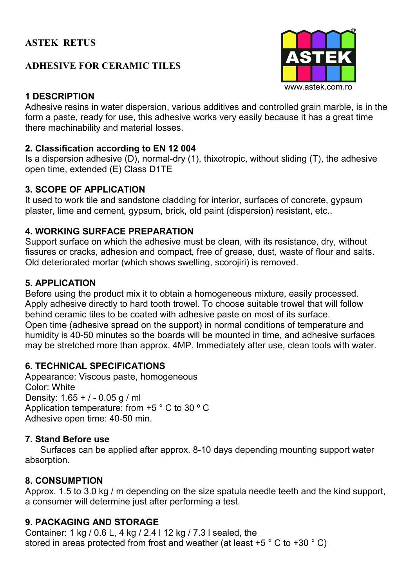## **ASTEK RETUS**

## **ADHESIVE FOR CERAMIC TILES**



#### **1 DESCRIPTION**

Adhesive resins in water dispersion, various additives and controlled grain marble, is in the form a paste, ready for use, this adhesive works very easily because it has a great time there machinability and material losses.

#### **2. Classification according to EN 12 004**

Is a dispersion adhesive (D), normal-dry (1), thixotropic, without sliding (T), the adhesive open time, extended (E) Class D1TE

#### **3. SCOPE OF APPLICATION**

It used to work tile and sandstone cladding for interior, surfaces of concrete, gypsum plaster, lime and cement, gypsum, brick, old paint (dispersion) resistant, etc..

## **4. WORKING SURFACE PREPARATION**

Support surface on which the adhesive must be clean, with its resistance, dry, without fissures or cracks, adhesion and compact, free of grease, dust, waste of flour and salts. Old deteriorated mortar (which shows swelling, scorojiri) is removed.

#### **5. APPLICATION**

Before using the product mix it to obtain a homogeneous mixture, easily processed. Apply adhesive directly to hard tooth trowel. To choose suitable trowel that will follow behind ceramic tiles to be coated with adhesive paste on most of its surface. Open time (adhesive spread on the support) in normal conditions of temperature and humidity is 40-50 minutes so the boards will be mounted in time, and adhesive surfaces may be stretched more than approx. 4MP. Immediately after use, clean tools with water.

## **6. TECHNICAL SPECIFICATIONS**

Appearance: Viscous paste, homogeneous Color: White Density: 1.65 + / - 0.05 g / ml Application temperature: from +5 ° C to 30 º C Adhesive open time: 40-50 min.

## **7. Stand Before use**

 Surfaces can be applied after approx. 8-10 days depending mounting support water absorption.

## **8. CONSUMPTION**

Approx. 1.5 to 3.0 kg / m depending on the size spatula needle teeth and the kind support, a consumer will determine just after performing a test.

## **9. PACKAGING AND STORAGE**

Container: 1 kg / 0.6 L, 4 kg / 2.4 l 12 kg / 7.3 l sealed, the stored in areas protected from frost and weather (at least +5 ° C to +30 ° C)